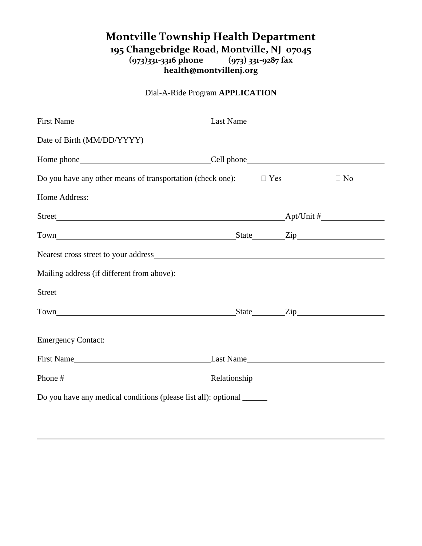## **Montville Township Health Department** 195 Changebridge Road, Montville, NJ 07045<br>(973)331-3316 phone (973) 331-9287 fax **(973)331-3316 phone (973) 331-9287 fax**

**health@montvillenj.org**

| Dial-A-Ride Program APPLICATION |  |
|---------------------------------|--|
|---------------------------------|--|

| Date of Birth (MM/DD/YYYY)                                                                                                                                                                                                     |  |           |  |  |  |
|--------------------------------------------------------------------------------------------------------------------------------------------------------------------------------------------------------------------------------|--|-----------|--|--|--|
|                                                                                                                                                                                                                                |  |           |  |  |  |
| Do you have any other means of transportation (check one): $\square$ Yes                                                                                                                                                       |  | $\Box$ No |  |  |  |
| Home Address:                                                                                                                                                                                                                  |  |           |  |  |  |
|                                                                                                                                                                                                                                |  |           |  |  |  |
|                                                                                                                                                                                                                                |  |           |  |  |  |
|                                                                                                                                                                                                                                |  |           |  |  |  |
| Mailing address (if different from above):                                                                                                                                                                                     |  |           |  |  |  |
|                                                                                                                                                                                                                                |  |           |  |  |  |
| Town Town Eighteen City Communications and State City Communications and State City Communications and State City Communications and State City Communications and State City Communications and State City Communications and |  |           |  |  |  |
| <b>Emergency Contact:</b>                                                                                                                                                                                                      |  |           |  |  |  |
|                                                                                                                                                                                                                                |  |           |  |  |  |
| Phone # Relationship Relationship Relationship                                                                                                                                                                                 |  |           |  |  |  |
| Do you have any medical conditions (please list all): optional ______                                                                                                                                                          |  |           |  |  |  |
|                                                                                                                                                                                                                                |  |           |  |  |  |
|                                                                                                                                                                                                                                |  |           |  |  |  |
|                                                                                                                                                                                                                                |  |           |  |  |  |
|                                                                                                                                                                                                                                |  |           |  |  |  |